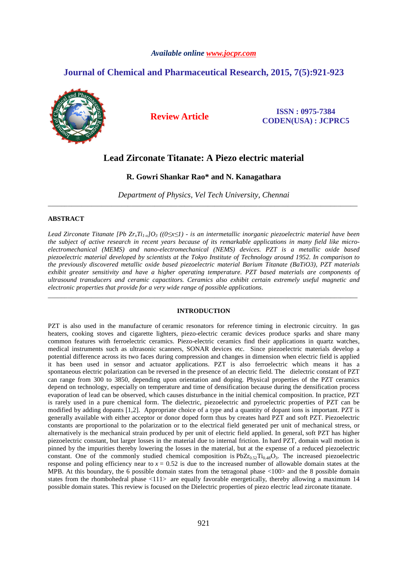### *Available online www.jocpr.com*

# **Journal of Chemical and Pharmaceutical Research, 2015, 7(5):921-923**



**Review Article ISSN : 0975-7384 CODEN(USA) : JCPRC5**

# **Lead Zirconate Titanate: A Piezo electric material**

### **R. Gowri Shankar Rao\* and N. Kanagathara**

*Department of Physics, Vel Tech University, Chennai* \_\_\_\_\_\_\_\_\_\_\_\_\_\_\_\_\_\_\_\_\_\_\_\_\_\_\_\_\_\_\_\_\_\_\_\_\_\_\_\_\_\_\_\_\_\_\_\_\_\_\_\_\_\_\_\_\_\_\_\_\_\_\_\_\_\_\_\_\_\_\_\_\_\_\_\_\_\_\_\_\_\_\_\_\_\_\_\_\_\_\_\_\_

#### **ABSTRACT**

*Lead Zirconate Titanate [Pb ZrxTi1-x]O3 ((0≤x≤1) - is an intermetallic inorganic piezoelectric material have been the subject of active research in recent years because of its remarkable applications in many field like microelectromechanical (MEMS) and nano-electromechanical (NEMS) devices. PZT is a metallic oxide based piezoelectric material developed by scientists at the Tokyo Institute of Technology around 1952. In comparison to the previously discovered metallic oxide based piezoelectric material Barium Titanate (BaTiO3), PZT materials exhibit greater sensitivity and have a higher operating temperature. PZT based materials are components of ultrasound transducers and ceramic capactitors. Ceramics also exhibit certain extremely useful magnetic and electronic properties that provide for a very wide range of possible applications.* 

#### **INTRODUCTION**

\_\_\_\_\_\_\_\_\_\_\_\_\_\_\_\_\_\_\_\_\_\_\_\_\_\_\_\_\_\_\_\_\_\_\_\_\_\_\_\_\_\_\_\_\_\_\_\_\_\_\_\_\_\_\_\_\_\_\_\_\_\_\_\_\_\_\_\_\_\_\_\_\_\_\_\_\_\_\_\_\_\_\_\_\_\_\_\_\_\_\_\_\_

PZT is also used in the manufacture of ceramic resonators for reference timing in electronic circuitry. In gas heaters, cooking stoves and cigarette lighters, piezo-electric ceramic devices produce sparks and share many common features with ferroelectric ceramics. Piezo-electric ceramics find their applications in quartz watches, medical instruments such as ultrasonic scanners, SONAR devices etc. Since piezoelectric materials develop a potential difference across its two faces during compression and changes in dimension when electric field is applied it has been used in sensor and actuator applications. PZT is also ferroelectric which means it has a spontaneous electric polarization can be reversed in the presence of an electric field. The dielectric constant of PZT can range from 300 to 3850, depending upon orientation and doping. Physical properties of the PZT ceramics depend on technology, especially on temperature and time of densification because during the densification process evaporation of lead can be observed, which causes disturbance in the initial chemical composition. In practice, PZT is rarely used in a pure chemical form. The dielectric, piezoelectric and pyroelectric properties of PZT can be modified by adding dopants [1,2]. Appropriate choice of a type and a quantity of dopant ions is important. PZT is generally available with either acceptor or donor doped form thus by creates hard PZT and soft PZT. Piezoelectric constants are proportional to the polarization or to the electrical field generated per unit of mechanical stress, or alternatively is the mechanical strain produced by per unit of electric field applied. In general, soft PZT has higher piezoelectric constant, but larger losses in the material due to internal friction. In hard PZT, domain wall motion is pinned by the impurities thereby lowering the losses in the material, but at the expense of a reduced piezoelectric constant. One of the commonly studied chemical composition is  $PbZr_05T_1a_4sQ_3$ . The increased piezoelectric response and poling efficiency near to  $x = 0.52$  is due to the increased number of allowable domain states at the MPB. At this boundary, the 6 possible domain states from the tetragonal phase <100> and the 8 possible domain states from the rhombohedral phase  $\langle 111 \rangle$  are equally favorable energetically, thereby allowing a maximum 14 possible domain states. This review is focused on the Dielectric properties of piezo electric lead zirconate titanate.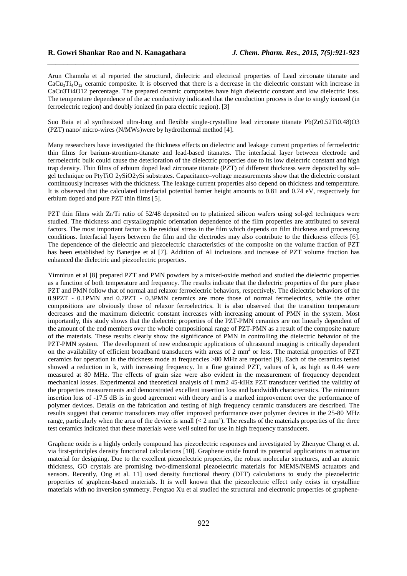Arun Chamola et al reported the structural, dielectric and electrical properties of Lead zirconate titanate and  $CaCu<sub>3</sub>Ti<sub>4</sub>O<sub>12</sub>$  ceramic composite. It is observed that there is a decrease in the dielectric constant with increase in CaCu3Ti4O12 percentage. The prepared ceramic composites have high dielectric constant and low dielectric loss. The temperature dependence of the ac conductivity indicated that the conduction process is due to singly ionized (in ferroelectric region) and doubly ionized (in para electric region). [3]

*\_\_\_\_\_\_\_\_\_\_\_\_\_\_\_\_\_\_\_\_\_\_\_\_\_\_\_\_\_\_\_\_\_\_\_\_\_\_\_\_\_\_\_\_\_\_\_\_\_\_\_\_\_\_\_\_\_\_\_\_\_\_\_\_\_\_\_\_\_\_\_\_\_\_\_\_\_\_*

Suo Baia et al synthesized ultra-long and flexible single-crystalline lead zirconate titanate Pb(Zr0.52Ti0.48)O3 (PZT) nano/ micro-wires (N/MWs)were by hydrothermal method [4].

Many researchers have investigated the thickness effects on dielectric and leakage current properties of ferroelectric thin films for barium-strontium-titanate and lead-based titanates. The interfacial layer between electrode and ferroelectric bulk could cause the deterioration of the dielectric properties due to its low dielectric constant and high trap density. Thin films of erbium doped lead zirconate titanate (PZT) of different thickness were deposited by sol– gel technique on PtyTiO 2ySiO2ySi substrates. Capacitance–voltage measurements show that the dielectric constant continuously increases with the thickness. The leakage current properties also depend on thickness and temperature. It is observed that the calculated interfacial potential barrier height amounts to 0.81 and 0.74 eV, respectively for erbium doped and pure PZT thin films [5].

PZT thin films with Zr/Ti ratio of 52/48 deposited on to platinized silicon wafers using sol-gel techniques were studied. The thickness and crystallographic orientation dependence of the film properties are attributed to several factors. The most important factor is the residual stress in the film which depends on film thickness and processing conditions. Interfacial layers between the film and the electrodes may also contribute to the thickness effects [6]. The dependence of the dielectric and piezoelectric characteristics of the composite on the volume fraction of PZT has been established by Banerjee et al [7]. Addition of Al inclusions and increase of PZT volume fraction has enhanced the dielectric and piezoelectric properties.

Yimnirun et al [8] prepared PZT and PMN powders by a mixed-oxide method and studied the dielectric properties as a function of both temperature and frequency. The results indicate that the dielectric properties of the pure phase PZT and PMN follow that of normal and relaxor ferroelectric behaviors, respectively. The dielectric behaviors of the 0.9PZT - 0.1PMN and 0.7PZT - 0.3PMN ceramics are more those of normal ferroelectrics, while the other compositions are obviously those of relaxor ferroelectrics. It is also observed that the transition temperature decreases and the maximum dielectric constant increases with increasing amount of PMN in the system. Most importantly, this study shows that the dielectric properties of the PZT-PMN ceramics are not linearly dependent of the amount of the end members over the whole compositional range of PZT-PMN as a result of the composite nature of the materials. These results clearly show the significance of PMN in controlling the dielectric behavior of the PZT-PMN system. The development of new endoscopic applications of ultrasound imaging is critically dependent on the availability of efficient broadband transducers with areas of 2 mm<sup>2</sup> or less. The material properties of PZT ceramics for operation in the thickness mode at frequencies >80 MHz are reported [9]. Each of the ceramics tested showed a reduction in k, with increasing frequency. In a fine grained PZT, values of k, as high as 0.44 were measured at 80 MHz. The effects of grain size were also evident in the measurement of frequency dependent mechanical losses. Experimental and theoretical analysis of I mm2 45-kIHz PZT transducer verified the validity of the properties measurements and demonstrated excellent insertion loss and bandwidth characteristics. The minimum insertion loss of -17.5 dB is in good agreement with theory and is a marked improvement over the performance of polymer devices. Details on the fabrication and testing of high frequency ceramic transducers are described. The results suggest that ceramic transducers may offer improved performance over polymer devices in the 25-80 MHz range, particularly when the area of the device is small  $(< 2 \text{ mm}$ ). The results of the materials properties of the three test ceramics indicated that these materials were well suited for use in high frequency transducers.

Graphene oxide is a highly orderly compound has piezoelectric responses and investigated by Zhenyue Chang et al. via first-principles density functional calculations [10]. Graphene oxide found its potential applications in actuation material for designing. Due to the excellent piezoelectric properties, the robust molecular structures, and an atomic thickness, GO crystals are promising two-dimensional piezoelectric materials for MEMS/NEMS actuators and sensors. Recently, Ong et al. 11] used density functional theory (DFT) calculations to study the piezoelectric properties of graphene-based materials. It is well known that the piezoelectric effect only exists in crystalline materials with no inversion symmetry. Pengtao Xu et al studied the structural and electronic properties of graphene